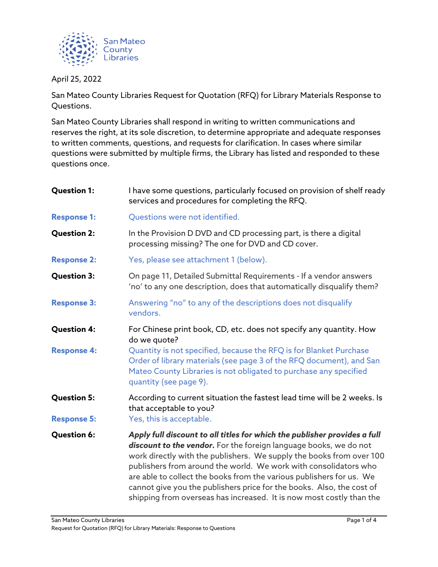

April 25, 2022

San Mateo County Libraries Request for Quotation (RFQ) for Library Materials Response to Questions.

San Mateo County Libraries shall respond in writing to written communications and reserves the right, at its sole discretion, to determine appropriate and adequate responses to written comments, questions, and requests for clarification. In cases where similar questions were submitted by multiple firms, the Library has listed and responded to these questions once.

| <b>Question 1:</b> | I have some questions, particularly focused on provision of shelf ready<br>services and procedures for completing the RFQ.                                                                                                                                                                                                                                                                                                                                                                                          |  |  |  |
|--------------------|---------------------------------------------------------------------------------------------------------------------------------------------------------------------------------------------------------------------------------------------------------------------------------------------------------------------------------------------------------------------------------------------------------------------------------------------------------------------------------------------------------------------|--|--|--|
| <b>Response 1:</b> | Questions were not identified.                                                                                                                                                                                                                                                                                                                                                                                                                                                                                      |  |  |  |
| <b>Question 2:</b> | In the Provision D DVD and CD processing part, is there a digital<br>processing missing? The one for DVD and CD cover.                                                                                                                                                                                                                                                                                                                                                                                              |  |  |  |
| <b>Response 2:</b> | Yes, please see attachment 1 (below).                                                                                                                                                                                                                                                                                                                                                                                                                                                                               |  |  |  |
| <b>Question 3:</b> | On page 11, Detailed Submittal Requirements - If a vendor answers<br>'no' to any one description, does that automatically disqualify them?                                                                                                                                                                                                                                                                                                                                                                          |  |  |  |
| <b>Response 3:</b> | Answering "no" to any of the descriptions does not disqualify<br>vendors.                                                                                                                                                                                                                                                                                                                                                                                                                                           |  |  |  |
| <b>Question 4:</b> | For Chinese print book, CD, etc. does not specify any quantity. How<br>do we quote?                                                                                                                                                                                                                                                                                                                                                                                                                                 |  |  |  |
| <b>Response 4:</b> | Quantity is not specified, because the RFQ is for Blanket Purchase<br>Order of library materials (see page 3 of the RFQ document), and San<br>Mateo County Libraries is not obligated to purchase any specified<br>quantity (see page 9).                                                                                                                                                                                                                                                                           |  |  |  |
| <b>Question 5:</b> | According to current situation the fastest lead time will be 2 weeks. Is<br>that acceptable to you?                                                                                                                                                                                                                                                                                                                                                                                                                 |  |  |  |
| <b>Response 5:</b> | Yes, this is acceptable.                                                                                                                                                                                                                                                                                                                                                                                                                                                                                            |  |  |  |
| <b>Question 6:</b> | Apply full discount to all titles for which the publisher provides a full<br>discount to the vendor. For the foreign language books, we do not<br>work directly with the publishers. We supply the books from over 100<br>publishers from around the world. We work with consolidators who<br>are able to collect the books from the various publishers for us. We<br>cannot give you the publishers price for the books. Also, the cost of<br>shipping from overseas has increased. It is now most costly than the |  |  |  |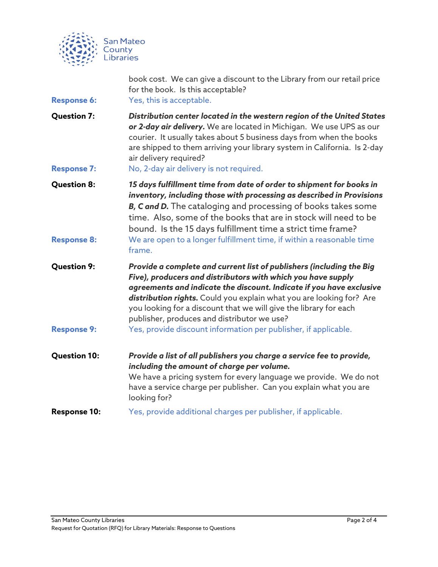

| <b>Response 6:</b>                       | book cost. We can give a discount to the Library from our retail price<br>for the book. Is this acceptable?<br>Yes, this is acceptable.                                                                                                                                                                                                                                                                                                                                     |  |  |
|------------------------------------------|-----------------------------------------------------------------------------------------------------------------------------------------------------------------------------------------------------------------------------------------------------------------------------------------------------------------------------------------------------------------------------------------------------------------------------------------------------------------------------|--|--|
| <b>Question 7:</b><br><b>Response 7:</b> | Distribution center located in the western region of the United States<br>or 2-day air delivery. We are located in Michigan. We use UPS as our<br>courier. It usually takes about 5 business days from when the books<br>are shipped to them arriving your library system in California. Is 2-day<br>air delivery required?<br>No, 2-day air delivery is not required.                                                                                                      |  |  |
| <b>Question 8:</b><br><b>Response 8:</b> | 15 days fulfillment time from date of order to shipment for books in<br>inventory, including those with processing as described in Provisions<br>B, C and D. The cataloging and processing of books takes some<br>time. Also, some of the books that are in stock will need to be<br>bound. Is the 15 days fulfillment time a strict time frame?<br>We are open to a longer fulfillment time, if within a reasonable time<br>frame.                                         |  |  |
| <b>Question 9:</b><br><b>Response 9:</b> | Provide a complete and current list of publishers (including the Big<br>Five), producers and distributors with which you have supply<br>agreements and indicate the discount. Indicate if you have exclusive<br>distribution rights. Could you explain what you are looking for? Are<br>you looking for a discount that we will give the library for each<br>publisher, produces and distributor we use?<br>Yes, provide discount information per publisher, if applicable. |  |  |
| <b>Question 10:</b>                      | Provide a list of all publishers you charge a service fee to provide,<br>including the amount of charge per volume.<br>We have a pricing system for every language we provide. We do not<br>have a service charge per publisher. Can you explain what you are<br>looking for?                                                                                                                                                                                               |  |  |
| <b>Response 10:</b>                      | Yes, provide additional charges per publisher, if applicable.                                                                                                                                                                                                                                                                                                                                                                                                               |  |  |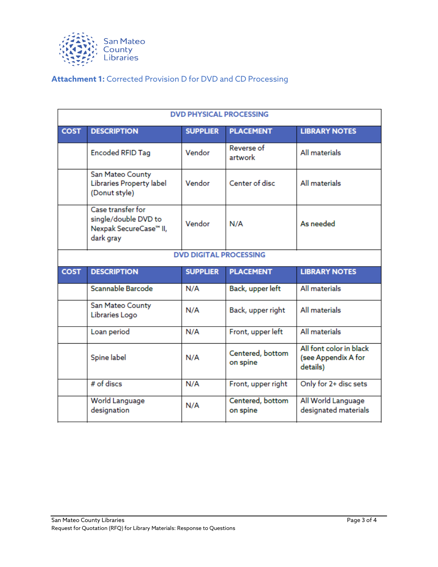

## **Attachment 1:** Corrected Provision D for DVD and CD Processing

| <b>DVD PHYSICAL PROCESSING</b> |                                                                                  |                 |                              |                                                            |  |  |  |
|--------------------------------|----------------------------------------------------------------------------------|-----------------|------------------------------|------------------------------------------------------------|--|--|--|
| <b>COST</b>                    | <b>DESCRIPTION</b>                                                               | <b>SUPPLIER</b> | <b>PLACEMENT</b>             | <b>LIBRARY NOTES</b>                                       |  |  |  |
|                                | <b>Encoded RFID Tag</b>                                                          | Vendor          | Reverse of<br>artwork        | All materials                                              |  |  |  |
|                                | San Mateo County<br>Libraries Property label<br>(Donut style)                    | Vendor          | Center of disc               | All materials                                              |  |  |  |
|                                | Case transfer for<br>single/double DVD to<br>Nexpak SecureCase™ II,<br>dark gray | Vendor          | N/A                          | As needed                                                  |  |  |  |
| <b>DVD DIGITAL PROCESSING</b>  |                                                                                  |                 |                              |                                                            |  |  |  |
|                                |                                                                                  |                 |                              |                                                            |  |  |  |
| <b>COST</b>                    | <b>DESCRIPTION</b>                                                               | <b>SUPPLIER</b> | <b>PLACEMENT</b>             | <b>LIBRARY NOTES</b>                                       |  |  |  |
|                                | Scannable Barcode                                                                | N/A             | Back, upper left             | All materials                                              |  |  |  |
|                                | San Mateo County<br>Libraries Logo                                               | N/A             | Back, upper right            | All materials                                              |  |  |  |
|                                | Loan period                                                                      | N/A             | Front, upper left            | All materials                                              |  |  |  |
|                                | Spine label                                                                      | N/A             | Centered, bottom<br>on spine | All font color in black<br>(see Appendix A for<br>details) |  |  |  |
|                                | $#$ of discs                                                                     | N/A             | Front, upper right           | Only for 2+ disc sets                                      |  |  |  |